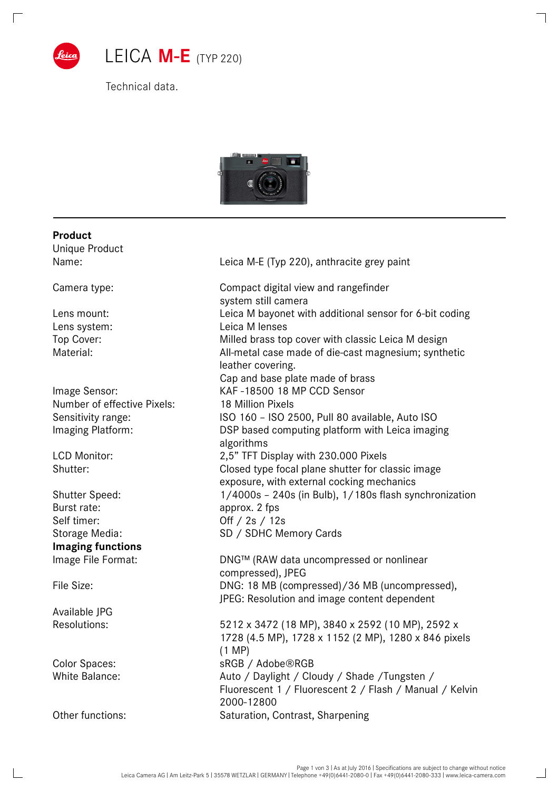

Technical data.



## **Product** Unique Product Name: Name: Leica M-E (Typ 220), anthracite grey paint Camera type: Compact digital view and rangefinder system still camera Lens mount: Leica M bayonet with additional sensor for 6-bit coding Lens system: Leica M lenses Top Cover: Milled brass top cover with classic Leica M design Material: All-metal case made of die-cast magnesium; synthetic leather covering. Cap and base plate made of brass Image Sensor: KAF -18500 18 MP CCD Sensor Number of effective Pixels: 18 Million Pixels Sensitivity range: ISO 160 – ISO 2500, Pull 80 available, Auto ISO Imaging Platform: DSP based computing platform with Leica imaging algorithms LCD Monitor: 2,5" TFT Display with 230.000 Pixels Shutter: Closed type focal plane shutter for classic image exposure, with external cocking mechanics Shutter Speed: 1/4000s – 240s (in Bulb), 1/180s flash synchronization Burst rate: approx. 2 fps Self timer: Off / 2s / 12s Storage Media: SD / SDHC Memory Cards **Imaging functions**  Image File Format: DNG™ (RAW data uncompressed or nonlinear compressed), JPEG File Size: DNG: 18 MB (compressed)/36 MB (uncompressed), JPEG: Resolution and image content dependent Available JPG Resolutions: 5212 x 3472 (18 MP), 3840 x 2592 (10 MP), 2592 x 1728 (4.5 MP), 1728 x 1152 (2 MP), 1280 x 846 pixels (1 MP) Color Spaces: sRGB / Adobe®RGB White Balance:  $\frac{1}{4}$  Auto / Daylight / Cloudy / Shade / Tungsten / Fluorescent 1 / Fluorescent 2 / Flash / Manual / Kelvin 2000-12800 Other functions: Saturation, Contrast, Sharpening

 $\mathbf{I}$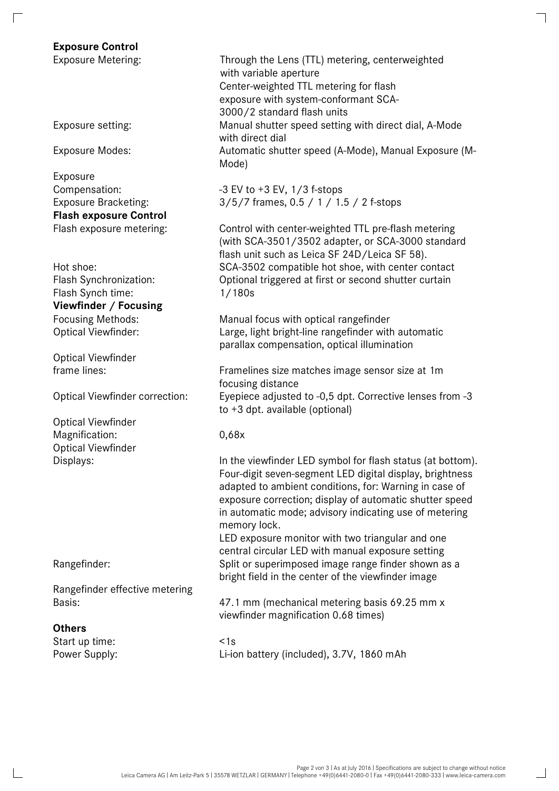# **Exposure Control**

Exposure **Flash exposure Control** 

Flash Synch time: 1/180s **Viewfinder / Focusing** 

Optical Viewfinder

Optical Viewfinder Magnification: 0,68x Optical Viewfinder

Rangefinder effective metering

### **Others**

Start up time:  $\leq 1$ s

Center-weighted TTL metering for flash exposure with system-conformant SCA-3000/2 standard flash units Exposure setting: Manual shutter speed setting with direct dial, A-Mode with direct dial Exposure Modes: Automatic shutter speed (A-Mode), Manual Exposure (M-Mode) Exposure Metering: Through the Lens (TTL) metering, centerweighted with variable aperture

Compensation:  $-3$  EV to  $+3$  EV,  $1/3$  f-stops Exposure Bracketing: 3/5/7 frames, 0.5 / 1 / 1.5 / 2 f-stops

Flash exposure metering: Control with center-weighted TTL pre-flash metering (with SCA-3501/3502 adapter, or SCA-3000 standard flash unit such as Leica SF 24D/Leica SF 58). Hot shoe: SCA-3502 compatible hot shoe, with center contact Flash Synchronization: Optional triggered at first or second shutter curtain

Focusing Methods: Manual focus with optical rangefinder Optical Viewfinder: Large, light bright-line rangefinder with automatic parallax compensation, optical illumination

frame lines: Framelines size matches image sensor size at 1m focusing distance Optical Viewfinder correction: Eyepiece adjusted to -0,5 dpt. Corrective lenses from -3 to +3 dpt. available (optional)

Other functions: Saturation, Contrast, Sharpening

Displays: In the viewfinder LED symbol for flash status (at bottom). Four-digit seven-segment LED digital display, brightness adapted to ambient conditions, for: Warning in case of exposure correction; display of automatic shutter speed in automatic mode; advisory indicating use of metering memory lock.

LED exposure monitor with two triangular and one central circular LED with manual exposure setting Rangefinder: Split or superimposed image range finder shown as a bright field in the center of the viewfinder image

Basis: 47.1 mm (mechanical metering basis 69.25 mm x viewfinder magnification 0.68 times)

Power Supply: Li-ion battery (included), 3.7V, 1860 mAh

 $\overline{\phantom{0}}$